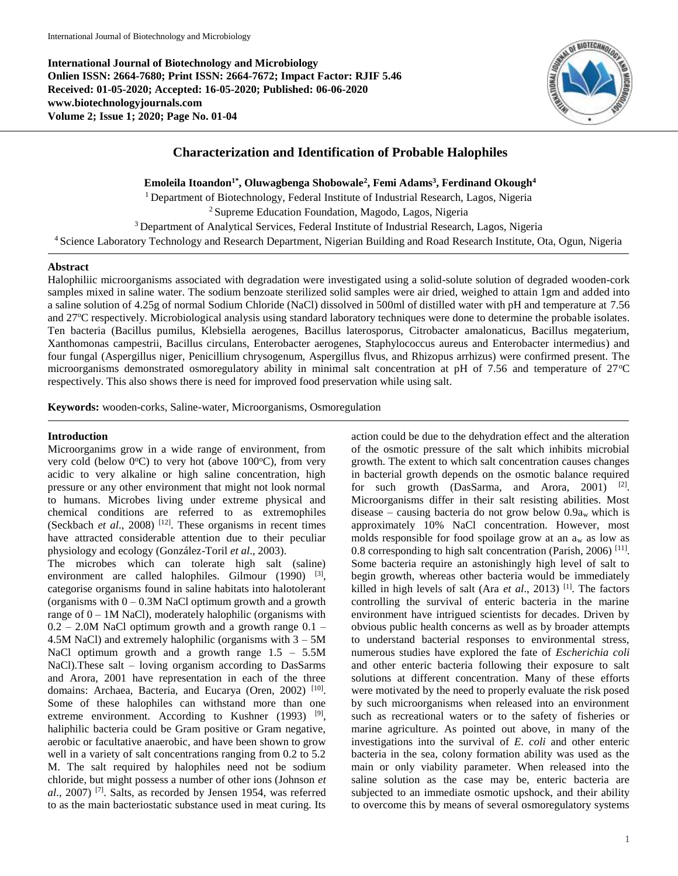**International Journal of Biotechnology and Microbiology Onlien ISSN: 2664-7680; Print ISSN: 2664-7672; Impact Factor: RJIF 5.46 Received: 01-05-2020; Accepted: 16-05-2020; Published: 06-06-2020 www.biotechnologyjournals.com Volume 2; Issue 1; 2020; Page No. 01-04**



# **Characterization and Identification of Probable Halophiles**

**Emoleila Itoandon1\*, Oluwagbenga Shobowale<sup>2</sup> , Femi Adams<sup>3</sup> , Ferdinand Okough<sup>4</sup>**

<sup>1</sup>Department of Biotechnology, Federal Institute of Industrial Research, Lagos, Nigeria

<sup>2</sup>Supreme Education Foundation, Magodo, Lagos, Nigeria

<sup>3</sup> Department of Analytical Services, Federal Institute of Industrial Research, Lagos, Nigeria

<sup>4</sup>Science Laboratory Technology and Research Department, Nigerian Building and Road Research Institute, Ota, Ogun, Nigeria

#### **Abstract**

Halophiliic microorganisms associated with degradation were investigated using a solid-solute solution of degraded wooden-cork samples mixed in saline water. The sodium benzoate sterilized solid samples were air dried, weighed to attain 1gm and added into a saline solution of 4.25g of normal Sodium Chloride (NaCl) dissolved in 500ml of distilled water with pH and temperature at 7.56 and 27°C respectively. Microbiological analysis using standard laboratory techniques were done to determine the probable isolates. Ten bacteria (Bacillus pumilus, Klebsiella aerogenes, Bacillus laterosporus, Citrobacter amalonaticus, Bacillus megaterium, Xanthomonas campestrii, Bacillus circulans, Enterobacter aerogenes, Staphylococcus aureus and Enterobacter intermedius) and four fungal (Aspergillus niger, Penicillium chrysogenum, Aspergillus flvus, and Rhizopus arrhizus) were confirmed present. The microorganisms demonstrated osmoregulatory ability in minimal salt concentration at pH of 7.56 and temperature of 27°C respectively. This also shows there is need for improved food preservation while using salt.

**Keywords:** wooden-corks, Saline-water, Microorganisms, Osmoregulation

#### **Introduction**

Microorganims grow in a wide range of environment, from very cold (below  $0^{\circ}$ C) to very hot (above 100 $^{\circ}$ C), from very acidic to very alkaline or high saline concentration, high pressure or any other environment that might not look normal to humans. Microbes living under extreme physical and chemical conditions are referred to as extremophiles (Seckbach *et al.*, 2008)<sup>[12]</sup>. These organisms in recent times have attracted considerable attention due to their peculiar physiology and ecology (González-Toril *et al*., 2003).

The microbes which can tolerate high salt (saline) environment are called halophiles. Gilmour  $(1990)$  <sup>[3]</sup>, categorise organisms found in saline habitats into halotolerant (organisms with  $0 - 0.3M$  NaCl optimum growth and a growth range of  $0 - 1M$  NaCl), moderately halophilic (organisms with  $0.2 - 2.0M$  NaCl optimum growth and a growth range  $0.1 -$ 4.5M NaCl) and extremely halophilic (organisms with  $3 - 5M$ NaCl optimum growth and a growth range  $1.5 - 5.5M$ NaCl).These salt – loving organism according to DasSarms and Arora, 2001 have representation in each of the three domains: Archaea, Bacteria, and Eucarya (Oren, 2002)<sup>[10]</sup>. Some of these halophiles can withstand more than one extreme environment. According to Kushner  $(1993)$  <sup>[9]</sup>, haliphilic bacteria could be Gram positive or Gram negative, aerobic or facultative anaerobic, and have been shown to grow well in a variety of salt concentrations ranging from 0.2 to 5.2 M. The salt required by halophiles need not be sodium chloride, but might possess a number of other ions (Johnson *et al*., 2007) [7] . Salts, as recorded by Jensen 1954, was referred to as the main bacteriostatic substance used in meat curing. Its

action could be due to the dehydration effect and the alteration of the osmotic pressure of the salt which inhibits microbial growth. The extent to which salt concentration causes changes in bacterial growth depends on the osmotic balance required for such growth (DasSarma, and Arora, 2001) <sup>[2]</sup>. Microorganisms differ in their salt resisting abilities. Most disease – causing bacteria do not grow below  $0.9a_w$  which is approximately 10% NaCl concentration. However, most molds responsible for food spoilage grow at an a<sup>w</sup> as low as 0.8 corresponding to high salt concentration (Parish, 2006)<sup>[11]</sup>. Some bacteria require an astonishingly high level of salt to begin growth, whereas other bacteria would be immediately killed in high levels of salt (Ara  $et$   $al$ , 2013)<sup>[1]</sup>. The factors controlling the survival of enteric bacteria in the marine environment have intrigued scientists for decades. Driven by obvious public health concerns as well as by broader attempts to understand bacterial responses to environmental stress, numerous studies have explored the fate of *Escherichia coli* and other enteric bacteria following their exposure to salt solutions at different concentration. Many of these efforts were motivated by the need to properly evaluate the risk posed by such microorganisms when released into an environment such as recreational waters or to the safety of fisheries or marine agriculture. As pointed out above, in many of the investigations into the survival of *E. coli* and other enteric bacteria in the sea, colony formation ability was used as the main or only viability parameter. When released into the saline solution as the case may be, enteric bacteria are subjected to an immediate osmotic upshock, and their ability to overcome this by means of several osmoregulatory systems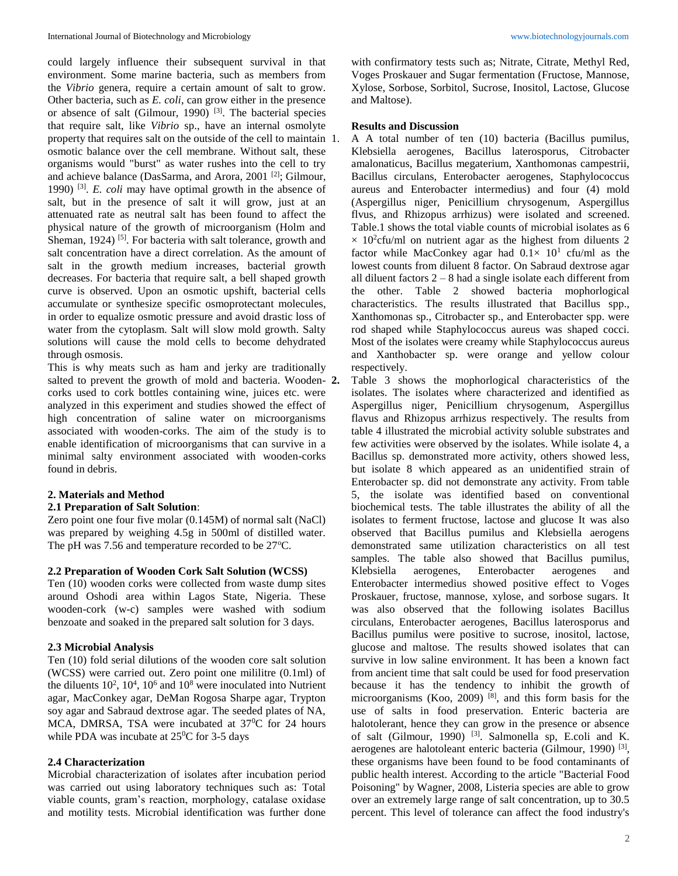could largely influence their subsequent survival in that environment. Some marine bacteria, such as members from the *Vibrio* genera, require a certain amount of salt to grow. Other bacteria, such as *E. coli*, can grow either in the presence or absence of salt (Gilmour, 1990)  $^{[3]}$ . The bacterial species that require salt, like *Vibrio* sp., have an internal osmolyte property that requires salt on the outside of the cell to maintain 1. osmotic balance over the cell membrane. Without salt, these organisms would "burst" as water rushes into the cell to try and achieve balance (DasSarma, and Arora, 2001 [2]; Gilmour, 1990) [3] . *E. coli* may have optimal growth in the absence of salt, but in the presence of salt it will grow, just at an attenuated rate as neutral salt has been found to affect the physical nature of the growth of microorganism (Holm and Sheman,  $1924$ )<sup>[5]</sup>. For bacteria with salt tolerance, growth and salt concentration have a direct correlation. As the amount of salt in the growth medium increases, bacterial growth decreases. For bacteria that require salt, a bell shaped growth curve is observed. Upon an osmotic upshift, bacterial cells accumulate or synthesize specific osmoprotectant molecules, in order to equalize osmotic pressure and avoid drastic loss of water from the cytoplasm. Salt will slow mold growth. Salty solutions will cause the mold cells to become dehydrated through osmosis.

This is why meats such as ham and jerky are traditionally salted to prevent the growth of mold and bacteria. Wooden- 2. corks used to cork bottles containing wine, juices etc. were analyzed in this experiment and studies showed the effect of high concentration of saline water on microorganisms associated with wooden-corks. The aim of the study is to enable identification of microorganisms that can survive in a minimal salty environment associated with wooden-corks found in debris.

# **2. Materials and Method**

# **2.1 Preparation of Salt Solution**:

Zero point one four five molar (0.145M) of normal salt (NaCl) was prepared by weighing 4.5g in 500ml of distilled water. The pH was  $7.56$  and temperature recorded to be  $27^{\circ}$ C.

# **2.2 Preparation of Wooden Cork Salt Solution (WCSS)**

Ten (10) wooden corks were collected from waste dump sites around Oshodi area within Lagos State, Nigeria. These wooden-cork (w-c) samples were washed with sodium benzoate and soaked in the prepared salt solution for 3 days.

# **2.3 Microbial Analysis**

Ten (10) fold serial dilutions of the wooden core salt solution (WCSS) were carried out. Zero point one mililitre (0.1ml) of the diluents  $10^2$ ,  $10^4$ ,  $10^6$  and  $10^8$  were inoculated into Nutrient agar, MacConkey agar, DeMan Rogosa Sharpe agar, Trypton soy agar and Sabraud dextrose agar. The seeded plates of NA, MCA, DMRSA, TSA were incubated at  $37^{\circ}$ C for 24 hours while PDA was incubate at  $25^{\circ}$ C for 3-5 days

# **2.4 Characterization**

Microbial characterization of isolates after incubation period was carried out using laboratory techniques such as: Total viable counts, gram's reaction, morphology, catalase oxidase and motility tests. Microbial identification was further done

with confirmatory tests such as; Nitrate, Citrate, Methyl Red, Voges Proskauer and Sugar fermentation (Fructose, Mannose, Xylose, Sorbose, Sorbitol, Sucrose, Inositol, Lactose, Glucose and Maltose).

#### **Results and Discussion**

1. A A total number of ten (10) bacteria (Bacillus pumilus, Klebsiella aerogenes, Bacillus laterosporus, Citrobacter amalonaticus, Bacillus megaterium, Xanthomonas campestrii, Bacillus circulans, Enterobacter aerogenes, Staphylococcus aureus and Enterobacter intermedius) and four (4) mold (Aspergillus niger, Penicillium chrysogenum, Aspergillus flvus, and Rhizopus arrhizus) were isolated and screened. Table.1 shows the total viable counts of microbial isolates as 6  $\times$  10<sup>2</sup>cfu/ml on nutrient agar as the highest from diluents 2 factor while MacConkey agar had  $0.1 \times 10^1$  cfu/ml as the lowest counts from diluent 8 factor. On Sabraud dextrose agar all diluent factors  $2 - 8$  had a single isolate each different from the other. Table 2 showed bacteria mophorlogical characteristics. The results illustrated that Bacillus spp., Xanthomonas sp., Citrobacter sp., and Enterobacter spp. were rod shaped while Staphylococcus aureus was shaped cocci. Most of the isolates were creamy while Staphylococcus aureus and Xanthobacter sp. were orange and yellow colour respectively.

**2.** Table 3 shows the mophorlogical characteristics of the isolates. The isolates where characterized and identified as Aspergillus niger, Penicillium chrysogenum, Aspergillus flavus and Rhizopus arrhizus respectively. The results from table 4 illustrated the microbial activity soluble substrates and few activities were observed by the isolates. While isolate 4, a Bacillus sp. demonstrated more activity, others showed less, but isolate 8 which appeared as an unidentified strain of Enterobacter sp. did not demonstrate any activity. From table 5, the isolate was identified based on conventional biochemical tests. The table illustrates the ability of all the isolates to ferment fructose, lactose and glucose It was also observed that Bacillus pumilus and Klebsiella aerogens demonstrated same utilization characteristics on all test samples. The table also showed that Bacillus pumilus, Klebsiella aerogenes, Enterobacter aerogenes and Enterobacter intermedius showed positive effect to Voges Proskauer, fructose, mannose, xylose, and sorbose sugars. It was also observed that the following isolates Bacillus circulans, Enterobacter aerogenes, Bacillus laterosporus and Bacillus pumilus were positive to sucrose, inositol, lactose, glucose and maltose. The results showed isolates that can survive in low saline environment. It has been a known fact from ancient time that salt could be used for food preservation because it has the tendency to inhibit the growth of microorganisms (Koo, 2009) [8], and this form basis for the use of salts in food preservation. Enteric bacteria are halotolerant, hence they can grow in the presence or absence of salt (Gilmour, 1990)<sup>[3]</sup>. Salmonella sp, E.coli and K. aerogenes are halotoleant enteric bacteria (Gilmour, 1990)<sup>[3]</sup>, these organisms have been found to be food contaminants of public health interest. According to the article "Bacterial Food Poisoning" by Wagner, 2008, Listeria species are able to grow over an extremely large range of salt concentration, up to 30.5 percent. This level of tolerance can affect the food industry's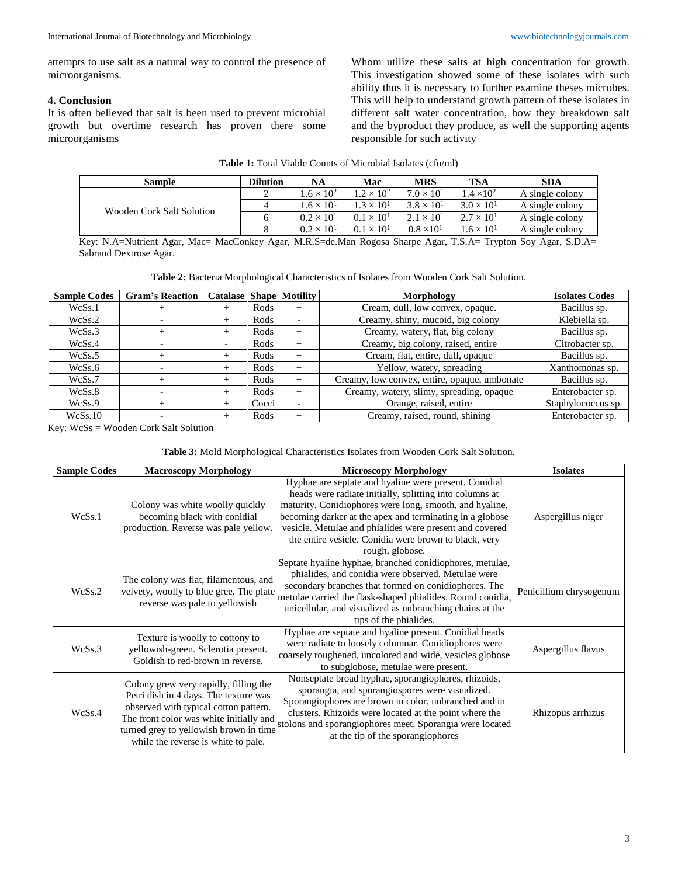attempts to use salt as a natural way to control the presence of microorganisms.

# **4. Conclusion**

It is often believed that salt is been used to prevent microbial growth but overtime research has proven there some microorganisms

Whom utilize these salts at high concentration for growth. This investigation showed some of these isolates with such ability thus it is necessary to further examine theses microbes. This will help to understand growth pattern of these isolates in different salt water concentration, how they breakdown salt and the byproduct they produce, as well the supporting agents responsible for such activity

| Table 1: Total Viable Counts of Microbial Isolates (cfu/ml) |
|-------------------------------------------------------------|
|-------------------------------------------------------------|

| <b>Sample</b>             | Dilution | <b>NA</b>           | Mac                 | <b>MRS</b>          | <b>TSA</b>          | <b>SDA</b>      |
|---------------------------|----------|---------------------|---------------------|---------------------|---------------------|-----------------|
|                           |          | $.6 \times 10^2$    | $.2 \times 10^2$    | $7.0 \times 10^{1}$ | $.4 \times 10^2$    | A single colony |
| Wooden Cork Salt Solution |          | $.6 \times 10^{1}$  | $.3 \times 10^1$    | $3.8 \times 10^{1}$ | $3.0 \times 10^{1}$ | A single colony |
|                           |          | $0.2 \times 10^{1}$ | $0.1 \times 10^{1}$ | $2.1 \times 10^{1}$ | $2.7 \times 10^{1}$ | A single colony |
|                           |          | $0.2 \times 10^{1}$ | $0.1 \times 10^{1}$ | $0.8 \times 10^{1}$ | $1.6 \times 10^{1}$ | A single colony |

Key: N.A=Nutrient Agar, Mac= MacConkey Agar, M.R.S=de.Man Rogosa Sharpe Agar, T.S.A= Trypton Soy Agar, S.D.A= Sabraud Dextrose Agar.

|  |  |  | Table 2: Bacteria Morphological Characteristics of Isolates from Wooden Cork Salt Solution. |
|--|--|--|---------------------------------------------------------------------------------------------|
|  |  |  |                                                                                             |

| <b>Sample Codes</b> | <b>Gram's Reaction</b> | <b>Catalase Shape Motility</b> |       |                          | Morphology                                   | <b>Isolates Codes</b> |
|---------------------|------------------------|--------------------------------|-------|--------------------------|----------------------------------------------|-----------------------|
| WcSs.1              |                        |                                | Rods  |                          | Cream, dull, low convex, opaque.             | Bacillus sp.          |
| WcSs.2              |                        |                                | Rods  | $\overline{\phantom{0}}$ | Creamy, shiny, mucoid, big colony            | Klebiella sp.         |
| WcSs.3              |                        |                                | Rods  | $+$                      | Creamy, watery, flat, big colony             | Bacillus sp.          |
| WcSs.4              |                        |                                | Rods  | $^{+}$                   | Creamy, big colony, raised, entire           | Citrobacter sp.       |
| WcSs.5              | $^+$                   | $^+$                           | Rods  | $^{+}$                   | Cream, flat, entire, dull, opaque            | Bacillus sp.          |
| WcSs.6              |                        |                                | Rods  | $^{+}$                   | Yellow, watery, spreading                    | Xanthomonas sp.       |
| WcSs.7              |                        |                                | Rods  | $+$                      | Creamy, low convex, entire, opaque, umbonate | Bacillus sp.          |
| WcSs.8              |                        | $^+$                           | Rods  | $^{+}$                   | Creamy, watery, slimy, spreading, opaque     | Enterobacter sp.      |
| WcSs.9              | $^+$                   |                                | Cocci | $\overline{\phantom{a}}$ | Orange, raised, entire                       | Staphylococcus sp.    |
| WcSs.10             |                        |                                | Rods  |                          | Creamy, raised, round, shining               | Enterobacter sp.      |

Key: WcSs = Wooden Cork Salt Solution

#### **Table 3:** Mold Morphological Characteristics Isolates from Wooden Cork Salt Solution.

| <b>Sample Codes</b> | <b>Macroscopy Morphology</b>                                                                                                                                                                                                                        | <b>Microscopy Morphology</b>                                                                                                                                                                                                                                                                                                                                                   | <b>Isolates</b>         |
|---------------------|-----------------------------------------------------------------------------------------------------------------------------------------------------------------------------------------------------------------------------------------------------|--------------------------------------------------------------------------------------------------------------------------------------------------------------------------------------------------------------------------------------------------------------------------------------------------------------------------------------------------------------------------------|-------------------------|
| WcSs.1              | Colony was white woolly quickly<br>becoming black with conidial<br>production. Reverse was pale yellow.                                                                                                                                             | Hyphae are septate and hyaline were present. Conidial<br>heads were radiate initially, splitting into columns at<br>maturity. Conidiophores were long, smooth, and hyaline,<br>becoming darker at the apex and terminating in a globose<br>vesicle. Metulae and phialides were present and covered<br>the entire vesicle. Conidia were brown to black, very<br>rough, globose. | Aspergillus niger       |
| WcSs.2              | The colony was flat, filamentous, and<br>velvety, woolly to blue gree. The plate<br>reverse was pale to yellowish                                                                                                                                   | Septate hyaline hyphae, branched conidiophores, metulae,<br>phialides, and conidia were observed. Metulae were<br>secondary branches that formed on conidiophores. The<br>metulae carried the flask-shaped phialides. Round conidia,<br>unicellular, and visualized as unbranching chains at the<br>tips of the phialides.                                                     | Penicillium chrysogenum |
| WcSs.3              | Texture is woolly to cottony to<br>yellowish-green. Sclerotia present.<br>Goldish to red-brown in reverse.                                                                                                                                          | Hyphae are septate and hyaline present. Conidial heads<br>were radiate to loosely columnar. Conidiophores were<br>coarsely roughened, uncolored and wide, vesicles globose<br>to subglobose, metulae were present.                                                                                                                                                             | Aspergillus flavus      |
| WcSs.4              | Colony grew very rapidly, filling the<br>Petri dish in 4 days. The texture was<br>observed with typical cotton pattern.<br>The front color was white initially and<br>turned grey to yellowish brown in time<br>while the reverse is white to pale. | Nonseptate broad hyphae, sporangiophores, rhizoids,<br>sporangia, and sporangiospores were visualized.<br>Sporangiophores are brown in color, unbranched and in<br>clusters. Rhizoids were located at the point where the<br>stolons and sporangiophores meet. Sporangia were located<br>at the tip of the sporangiophores                                                     | Rhizopus arrhizus       |